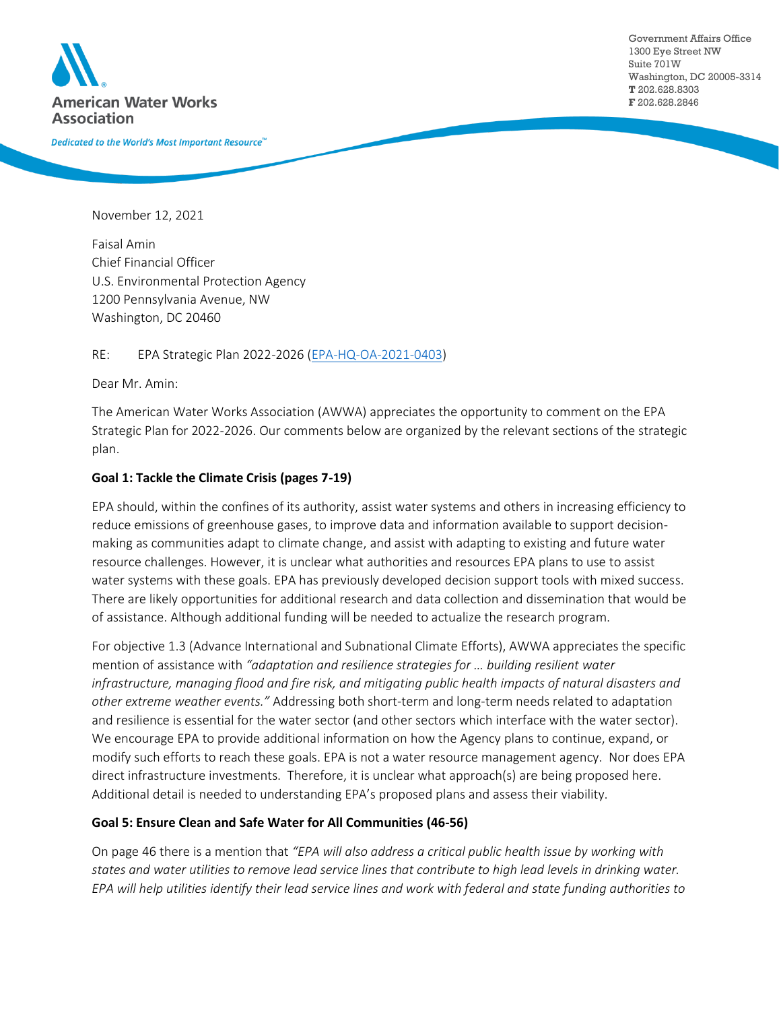

Government Affairs Office 1300 Eye Street NW Suite 701W Washington, DC 20005-3314 **T** 202.628.8303 **F** 202.628.2846

Dedicated to the World's Most Important Resource<sup>™</sup>

November 12, 2021

Faisal Amin Chief Financial Officer U.S. Environmental Protection Agency 1200 Pennsylvania Avenue, NW Washington, DC 20460

RE: EPA Strategic Plan 2022-2026 [\(EPA-HQ-OA-2021-0403\)](https://www.regulations.gov/docket/EPA-HQ-OA-2021-0403)

Dear Mr. Amin:

The American Water Works Association (AWWA) appreciates the opportunity to comment on the EPA Strategic Plan for 2022-2026. Our comments below are organized by the relevant sections of the strategic plan.

## **Goal 1: Tackle the Climate Crisis (pages 7-19)**

EPA should, within the confines of its authority, assist water systems and others in increasing efficiency to reduce emissions of greenhouse gases, to improve data and information available to support decisionmaking as communities adapt to climate change, and assist with adapting to existing and future water resource challenges. However, it is unclear what authorities and resources EPA plans to use to assist water systems with these goals. EPA has previously developed decision support tools with mixed success. There are likely opportunities for additional research and data collection and dissemination that would be of assistance. Although additional funding will be needed to actualize the research program.

For objective 1.3 (Advance International and Subnational Climate Efforts), AWWA appreciates the specific mention of assistance with *"adaptation and resilience strategies for … building resilient water infrastructure, managing flood and fire risk, and mitigating public health impacts of natural disasters and other extreme weather events."* Addressing both short-term and long-term needs related to adaptation and resilience is essential for the water sector (and other sectors which interface with the water sector). We encourage EPA to provide additional information on how the Agency plans to continue, expand, or modify such efforts to reach these goals. EPA is not a water resource management agency. Nor does EPA direct infrastructure investments. Therefore, it is unclear what approach(s) are being proposed here. Additional detail is needed to understanding EPA's proposed plans and assess their viability.

## **Goal 5: Ensure Clean and Safe Water for All Communities (46-56)**

On page 46 there is a mention that *"EPA will also address a critical public health issue by working with states and water utilities to remove lead service lines that contribute to high lead levels in drinking water. EPA will help utilities identify their lead service lines and work with federal and state funding authorities to*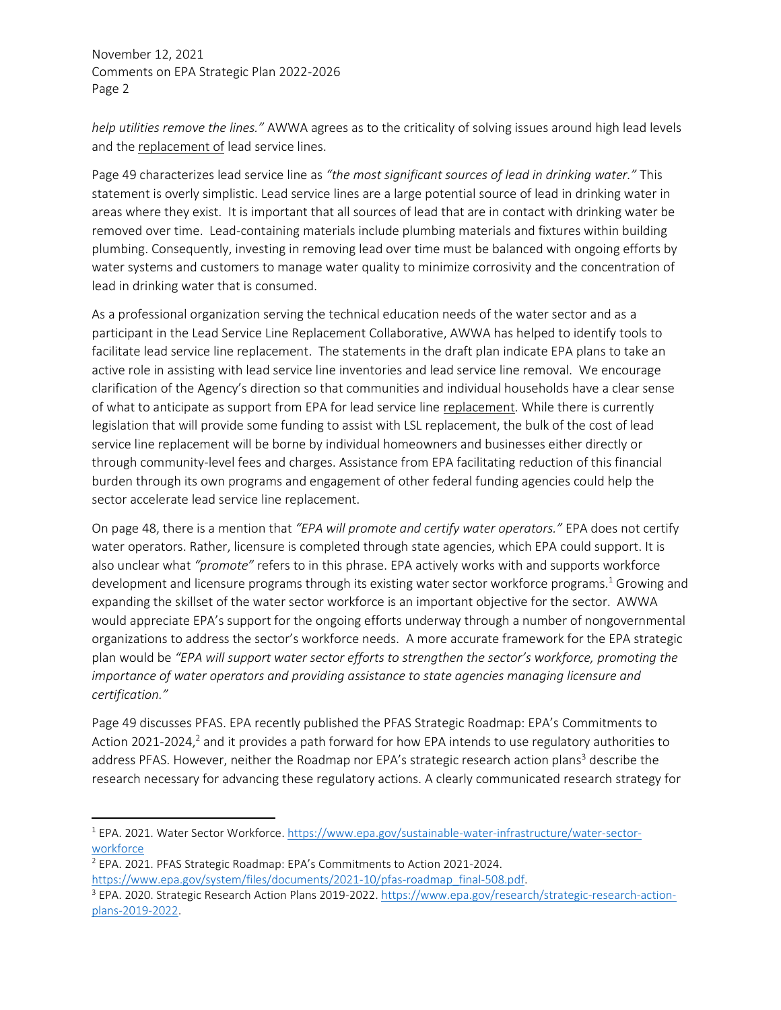*help utilities remove the lines."* AWWA agrees as to the criticality of solving issues around high lead levels and the replacement of lead service lines.

Page 49 characterizes lead service line as *"the most significant sources of lead in drinking water."* This statement is overly simplistic. Lead service lines are a large potential source of lead in drinking water in areas where they exist. It is important that all sources of lead that are in contact with drinking water be removed over time. Lead-containing materials include plumbing materials and fixtures within building plumbing. Consequently, investing in removing lead over time must be balanced with ongoing efforts by water systems and customers to manage water quality to minimize corrosivity and the concentration of lead in drinking water that is consumed.

As a professional organization serving the technical education needs of the water sector and as a participant in the Lead Service Line Replacement Collaborative, AWWA has helped to identify tools to facilitate lead service line replacement. The statements in the draft plan indicate EPA plans to take an active role in assisting with lead service line inventories and lead service line removal. We encourage clarification of the Agency's direction so that communities and individual households have a clear sense of what to anticipate as support from EPA for lead service line replacement. While there is currently legislation that will provide some funding to assist with LSL replacement, the bulk of the cost of lead service line replacement will be borne by individual homeowners and businesses either directly or through community-level fees and charges. Assistance from EPA facilitating reduction of this financial burden through its own programs and engagement of other federal funding agencies could help the sector accelerate lead service line replacement.

On page 48, there is a mention that *"EPA will promote and certify water operators."* EPA does not certify water operators. Rather, licensure is completed through state agencies, which EPA could support. It is also unclear what *"promote"* refers to in this phrase. EPA actively works with and supports workforce development and licensure programs through its existing water sector workforce programs.<sup>1</sup> Growing and expanding the skillset of the water sector workforce is an important objective for the sector. AWWA would appreciate EPA's support for the ongoing efforts underway through a number of nongovernmental organizations to address the sector's workforce needs. A more accurate framework for the EPA strategic plan would be "EPA will support water sector efforts to strengthen the sector's workforce, promoting the *importance of water operators and providing assistance to state agencies managing licensure and certification."*

Page 49 discusses PFAS. EPA recently published the PFAS Strategic Roadmap: EPA's Commitments to Action 2021-2024,<sup>2</sup> and it provides a path forward for how EPA intends to use regulatory authorities to address PFAS. However, neither the Roadmap nor EPA's strategic research action plans<sup>3</sup> describe the research necessary for advancing these regulatory actions. A clearly communicated research strategy for

<sup>2</sup> EPA. 2021. PFAS Strategic Roadmap: EPA's Commitments to Action 2021-2024.

<sup>1</sup> EPA. 2021. Water Sector Workforce. [https://www.epa.gov/sustainable-water-infrastructure/water-sector](https://www.epa.gov/sustainable-water-infrastructure/water-sector-workforce)**[workforce](https://www.epa.gov/sustainable-water-infrastructure/water-sector-workforce)** 

https://www.epa.gov/system/files/documents/2021-10/pfas-roadmap\_final-508.pdf.

<sup>&</sup>lt;sup>3</sup> EPA. 2020. Strategic Research Action Plans 2019-2022. [https://www.epa.gov/research/strategic-research-action](https://www.epa.gov/research/strategic-research-action-plans-2019-2022)[plans-2019-2022.](https://www.epa.gov/research/strategic-research-action-plans-2019-2022)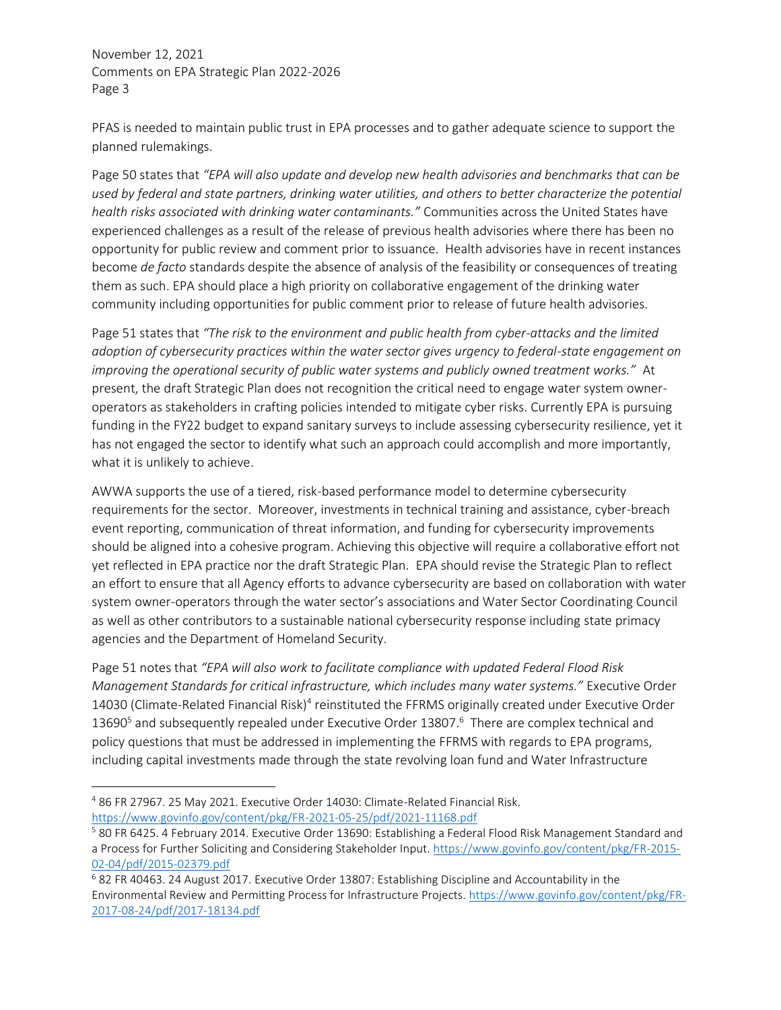PFAS is needed to maintain public trust in EPA processes and to gather adequate science to support the planned rulemakings.

Page 50 states that *"EPA will also update and develop new health advisories and benchmarks that can be used by federal and state partners, drinking water utilities, and others to better characterize the potential health risks associated with drinking water contaminants."* Communities across the United States have experienced challenges as a result of the release of previous health advisories where there has been no opportunity for public review and comment prior to issuance. Health advisories have in recent instances become *de facto* standards despite the absence of analysis of the feasibility or consequences of treating them as such. EPA should place a high priority on collaborative engagement of the drinking water community including opportunities for public comment prior to release of future health advisories.

Page 51 states that *"The risk to the environment and public health from cyber-attacks and the limited adoption of cybersecurity practices within the water sector gives urgency to federal-state engagement on improving the operational security of public water systems and publicly owned treatment works."* At present, the draft Strategic Plan does not recognition the critical need to engage water system owneroperators as stakeholders in crafting policies intended to mitigate cyber risks. Currently EPA is pursuing funding in the FY22 budget to expand sanitary surveys to include assessing cybersecurity resilience, yet it has not engaged the sector to identify what such an approach could accomplish and more importantly, what it is unlikely to achieve.

AWWA supports the use of a tiered, risk-based performance model to determine cybersecurity requirements for the sector. Moreover, investments in technical training and assistance, cyber-breach event reporting, communication of threat information, and funding for cybersecurity improvements should be aligned into a cohesive program. Achieving this objective will require a collaborative effort not yet reflected in EPA practice nor the draft Strategic Plan. EPA should revise the Strategic Plan to reflect an effort to ensure that all Agency efforts to advance cybersecurity are based on collaboration with water system owner-operators through the water sector's associations and Water Sector Coordinating Council as well as other contributors to a sustainable national cybersecurity response including state primacy agencies and the Department of Homeland Security.

Page 51 notes that *"EPA will also work to facilitate compliance with updated Federal Flood Risk Management Standards for critical infrastructure, which includes many water systems."* Executive Order 14030 (Climate-Related Financial Risk)<sup>4</sup> reinstituted the FFRMS originally created under Executive Order 13690<sup>5</sup> and subsequently repealed under Executive Order 13807.<sup>6</sup> There are complex technical and policy questions that must be addressed in implementing the FFRMS with regards to EPA programs, including capital investments made through the state revolving loan fund and Water Infrastructure

<sup>4</sup> 86 FR 27967. 25 May 2021. Executive Order 14030: Climate-Related Financial Risk. <https://www.govinfo.gov/content/pkg/FR-2021-05-25/pdf/2021-11168.pdf>

<sup>5</sup> 80 FR 6425. 4 February 2014. Executive Order 13690: Establishing a Federal Flood Risk Management Standard and a Process for Further Soliciting and Considering Stakeholder Input. [https://www.govinfo.gov/content/pkg/FR-2015-](https://www.govinfo.gov/content/pkg/FR-2015-02-04/pdf/2015-02379.pdf) [02-04/pdf/2015-02379.pdf](https://www.govinfo.gov/content/pkg/FR-2015-02-04/pdf/2015-02379.pdf)

<sup>6</sup> 82 FR 40463. 24 August 2017. Executive Order 13807: Establishing Discipline and Accountability in the Environmental Review and Permitting Process for Infrastructure Projects. [https://www.govinfo.gov/content/pkg/FR-](https://www.govinfo.gov/content/pkg/FR-2017-08-24/pdf/2017-18134.pdf)[2017-08-24/pdf/2017-18134.pdf](https://www.govinfo.gov/content/pkg/FR-2017-08-24/pdf/2017-18134.pdf)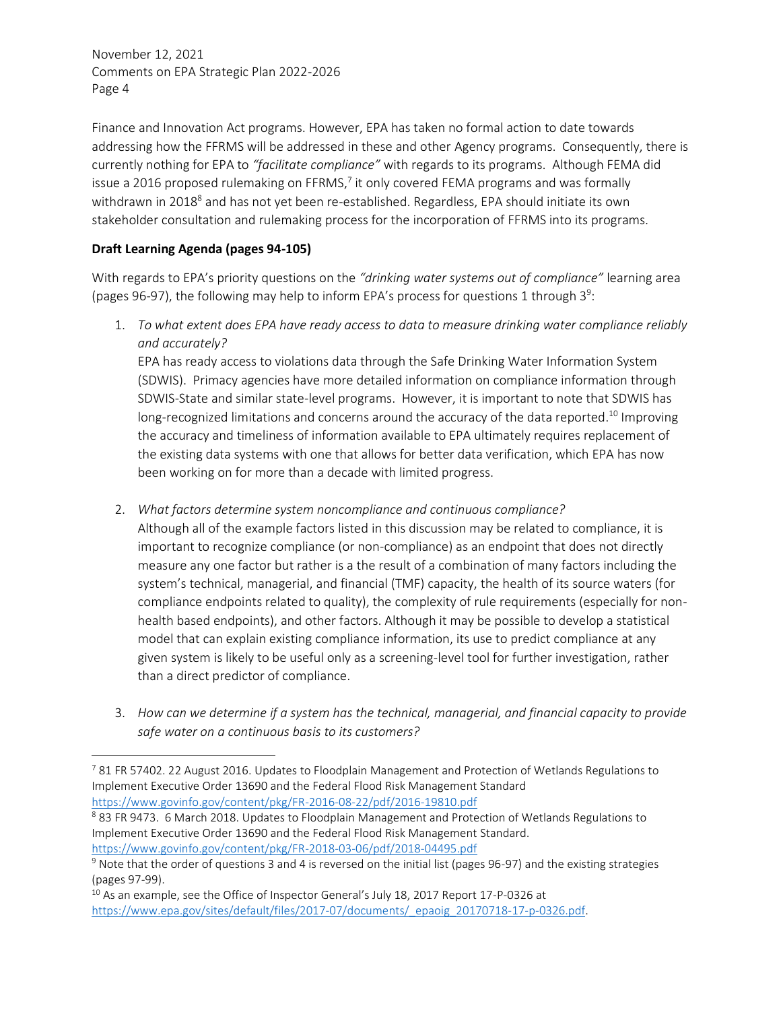Finance and Innovation Act programs. However, EPA has taken no formal action to date towards addressing how the FFRMS will be addressed in these and other Agency programs. Consequently, there is currently nothing for EPA to *"facilitate compliance"* with regards to its programs. Although FEMA did issue a 2016 proposed rulemaking on FFRMS,<sup>7</sup> it only covered FEMA programs and was formally withdrawn in 2018<sup>8</sup> and has not yet been re-established. Regardless, EPA should initiate its own stakeholder consultation and rulemaking process for the incorporation of FFRMS into its programs.

## **Draft Learning Agenda (pages 94-105)**

With regards to EPA's priority questions on the *"drinking water systems out of compliance"* learning area (pages 96-97), the following may help to inform EPA's process for questions 1 through  $3^9$ :

1. *To what extent does EPA have ready access to data to measure drinking water compliance reliably and accurately?*

EPA has ready access to violations data through the Safe Drinking Water Information System (SDWIS). Primacy agencies have more detailed information on compliance information through SDWIS-State and similar state-level programs. However, it is important to note that SDWIS has long-recognized limitations and concerns around the accuracy of the data reported.<sup>10</sup> Improving the accuracy and timeliness of information available to EPA ultimately requires replacement of the existing data systems with one that allows for better data verification, which EPA has now been working on for more than a decade with limited progress.

- 2. *What factors determine system noncompliance and continuous compliance?*
	- Although all of the example factors listed in this discussion may be related to compliance, it is important to recognize compliance (or non-compliance) as an endpoint that does not directly measure any one factor but rather is a the result of a combination of many factors including the system's technical, managerial, and financial (TMF) capacity, the health of its source waters (for compliance endpoints related to quality), the complexity of rule requirements (especially for nonhealth based endpoints), and other factors. Although it may be possible to develop a statistical model that can explain existing compliance information, its use to predict compliance at any given system is likely to be useful only as a screening-level tool for further investigation, rather than a direct predictor of compliance.
- 3. *How can we determine if a system has the technical, managerial, and financial capacity to provide safe water on a continuous basis to its customers?*

<sup>8</sup> 83 FR 9473. 6 March 2018. Updates to Floodplain Management and Protection of Wetlands Regulations to Implement Executive Order 13690 and the Federal Flood Risk Management Standard. <https://www.govinfo.gov/content/pkg/FR-2018-03-06/pdf/2018-04495.pdf>

 $10$  As an example, see the Office of Inspector General's July 18, 2017 Report 17-P-0326 at [https://www.epa.gov/sites/default/files/2017-07/documents/\\_epaoig\\_20170718-17-p-0326.pdf.](https://www.epa.gov/sites/default/files/2017-07/documents/_epaoig_20170718-17-p-0326.pdf)

<sup>&</sup>lt;sup>7</sup> 81 FR 57402. 22 August 2016. Updates to Floodplain Management and Protection of Wetlands Regulations to Implement Executive Order 13690 and the Federal Flood Risk Management Standard <https://www.govinfo.gov/content/pkg/FR-2016-08-22/pdf/2016-19810.pdf>

 $9$  Note that the order of questions 3 and 4 is reversed on the initial list (pages 96-97) and the existing strategies (pages 97-99).